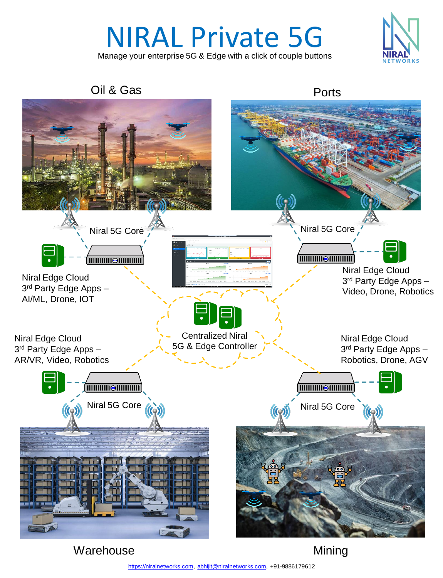# NIRAL Private 5G

Manage your enterprise 5G & Edge with a click of couple buttons



Oil & Gas **Ports** 



**Warehouse**